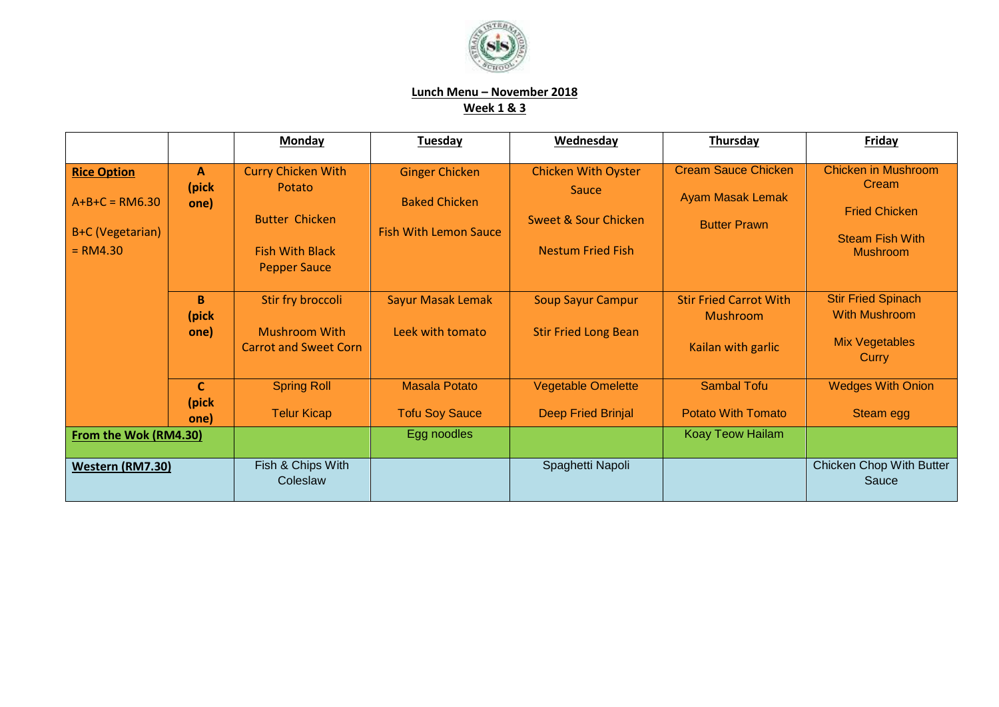

## **Lunch Menu – November 2018 Week 1 & 3**

|                                                                          |                               | <b>Monday</b>                                                                                                 | <b>Tuesday</b>                                                                | Wednesday                                                                                                 | Thursday                                                                     | <b>Friday</b>                                                                                            |
|--------------------------------------------------------------------------|-------------------------------|---------------------------------------------------------------------------------------------------------------|-------------------------------------------------------------------------------|-----------------------------------------------------------------------------------------------------------|------------------------------------------------------------------------------|----------------------------------------------------------------------------------------------------------|
| <b>Rice Option</b><br>$A+B+C = RM6.30$<br>B+C (Vegetarian)<br>$= RM4.30$ | $\mathbf{A}$<br>(pick<br>one) | <b>Curry Chicken With</b><br>Potato<br><b>Butter Chicken</b><br><b>Fish With Black</b><br><b>Pepper Sauce</b> | <b>Ginger Chicken</b><br><b>Baked Chicken</b><br><b>Fish With Lemon Sauce</b> | <b>Chicken With Oyster</b><br><b>Sauce</b><br><b>Sweet &amp; Sour Chicken</b><br><b>Nestum Fried Fish</b> | <b>Cream Sauce Chicken</b><br><b>Ayam Masak Lemak</b><br><b>Butter Prawn</b> | <b>Chicken in Mushroom</b><br>Cream<br><b>Fried Chicken</b><br><b>Steam Fish With</b><br><b>Mushroom</b> |
|                                                                          | B<br>(pick<br>one)            | Stir fry broccoli<br><b>Mushroom With</b><br><b>Carrot and Sweet Corn</b>                                     | <b>Sayur Masak Lemak</b><br>Leek with tomato                                  | <b>Soup Sayur Campur</b><br><b>Stir Fried Long Bean</b>                                                   | <b>Stir Fried Carrot With</b><br><b>Mushroom</b><br>Kailan with garlic       | <b>Stir Fried Spinach</b><br><b>With Mushroom</b><br><b>Mix Vegetables</b><br>Curry                      |
|                                                                          | $\mathbf{C}$<br>(pick<br>one) | <b>Spring Roll</b><br><b>Telur Kicap</b>                                                                      | <b>Masala Potato</b><br><b>Tofu Soy Sauce</b>                                 | <b>Vegetable Omelette</b><br><b>Deep Fried Brinjal</b>                                                    | <b>Sambal Tofu</b><br><b>Potato With Tomato</b>                              | <b>Wedges With Onion</b><br><b>Steam egg</b>                                                             |
| From the Wok (RM4.30)                                                    |                               |                                                                                                               | Egg noodles                                                                   |                                                                                                           | Koay Teow Hailam                                                             |                                                                                                          |
| Western (RM7.30)                                                         |                               | Fish & Chips With<br>Coleslaw                                                                                 |                                                                               | Spaghetti Napoli                                                                                          |                                                                              | <b>Chicken Chop With Butter</b><br>Sauce                                                                 |